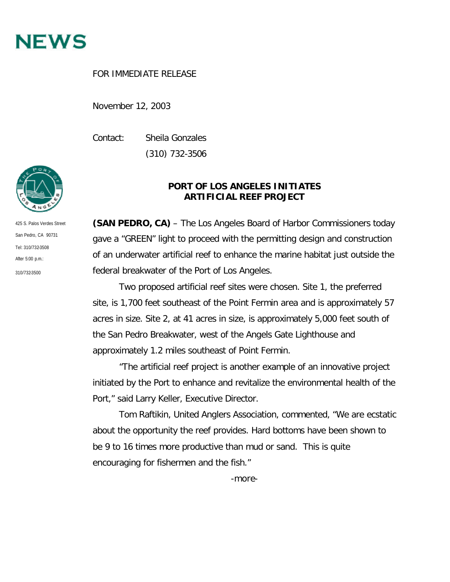

## FOR IMMEDIATE RELEASE

November 12, 2003

Contact: Sheila Gonzales (310) 732-3506



**(SAN PEDRO, CA)** – The Los Angeles Board of Harbor Commissioners today gave a "GREEN" light to proceed with the permitting design and construction of an underwater artificial reef to enhance the marine habitat just outside the federal breakwater of the Port of Los Angeles.

Two proposed artificial reef sites were chosen. Site 1, the preferred site, is 1,700 feet southeast of the Point Fermin area and is approximately 57 acres in size. Site 2, at 41 acres in size, is approximately 5,000 feet south of the San Pedro Breakwater, west of the Angels Gate Lighthouse and approximately 1.2 miles southeast of Point Fermin.

"The artificial reef project is another example of an innovative project initiated by the Port to enhance and revitalize the environmental health of the Port," said Larry Keller, Executive Director.

Tom Raftikin, United Anglers Association, commented, "We are ecstatic about the opportunity the reef provides. Hard bottoms have been shown to be 9 to 16 times more productive than mud or sand. This is quite encouraging for fishermen and the fish."

425 S. Palos Verdes Street San Pedro, CA 90731 Tel: 310/732-3508 After  $5:00 \text{ p.m.}$ 310/732-3500

-more-